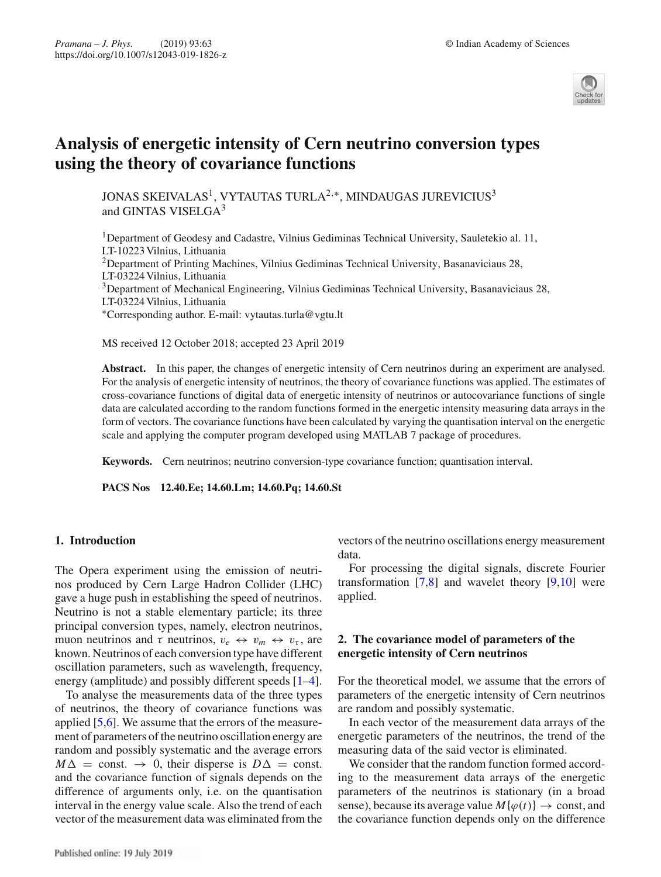

# **Analysis of energetic intensity of Cern neutrino conversion types using the theory of covariance functions**

JONAS SKEIVALAS<sup>1</sup>, VYTAUTAS TURLA<sup>2,∗</sup>, MINDAUGAS JUREVICIUS<sup>3</sup> and GINTAS VISELGA<sup>3</sup>

1Department of Geodesy and Cadastre, Vilnius Gediminas Technical University, Sauletekio al. 11, LT-10223 Vilnius, Lithuania <sup>2</sup>Department of Printing Machines, Vilnius Gediminas Technical University, Basanaviciaus 28, LT-03224 Vilnius, Lithuania 3Department of Mechanical Engineering, Vilnius Gediminas Technical University, Basanaviciaus 28, LT-03224 Vilnius, Lithuania ∗Corresponding author. E-mail: vytautas.turla@vgtu.lt

MS received 12 October 2018; accepted 23 April 2019

**Abstract.** In this paper, the changes of energetic intensity of Cern neutrinos during an experiment are analysed. For the analysis of energetic intensity of neutrinos, the theory of covariance functions was applied. The estimates of cross-covariance functions of digital data of energetic intensity of neutrinos or autocovariance functions of single data are calculated according to the random functions formed in the energetic intensity measuring data arrays in the form of vectors. The covariance functions have been calculated by varying the quantisation interval on the energetic scale and applying the computer program developed using MATLAB 7 package of procedures.

**Keywords.** Cern neutrinos; neutrino conversion-type covariance function; quantisation interval.

**PACS Nos 12.40.Ee; 14.60.Lm; 14.60.Pq; 14.60.St**

### **1. Introduction**

The Opera experiment using the emission of neutrinos produced by Cern Large Hadron Collider (LHC) gave a huge push in establishing the speed of neutrinos. Neutrino is not a stable elementary particle; its three principal conversion types, namely, electron neutrinos, muon neutrinos and  $\tau$  neutrinos,  $v_e \leftrightarrow v_m \leftrightarrow v_\tau$ , are known. Neutrinos of each conversion type have different oscillation parameters, such as wavelength, frequency, energy (amplitude) and possibly different speeds [1–4].

To analyse the measurements data of the three types of neutrinos, the theory of covariance functions was applied [5,6]. We assume that the errors of the measurement of parameters of the neutrino oscillation energy are random and possibly systematic and the average errors  $M\Delta$  = const.  $\rightarrow$  0, their disperse is  $D\Delta$  = const. and the covariance function of signals depends on the difference of arguments only, i.e. on the quantisation interval in the energy value scale. Also the trend of each vector of the measurement data was eliminated from the vectors of the neutrino oscillations energy measurement data.

For processing the digital signals, discrete Fourier transformation  $[7,8]$  and wavelet theory  $[9,10]$  were applied.

# **2. The covariance model of parameters of the energetic intensity of Cern neutrinos**

For the theoretical model, we assume that the errors of parameters of the energetic intensity of Cern neutrinos are random and possibly systematic.

In each vector of the measurement data arrays of the energetic parameters of the neutrinos, the trend of the measuring data of the said vector is eliminated.

We consider that the random function formed according to the measurement data arrays of the energetic parameters of the neutrinos is stationary (in a broad sense), because its average value  $M\{\varphi(t)\}\to \text{const}$ , and the covariance function depends only on the difference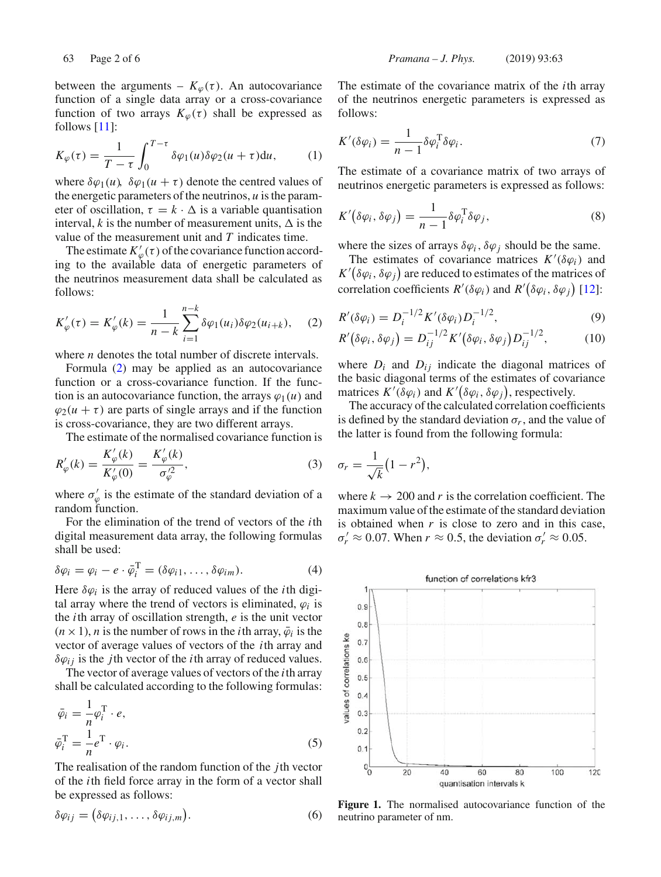between the arguments –  $K_{\varphi}(\tau)$ . An autocovariance function of a single data array or a cross-covariance function of two arrays  $K_{\varphi}(\tau)$  shall be expressed as follows [11]:

$$
K_{\varphi}(\tau) = \frac{1}{T - \tau} \int_0^{T - \tau} \delta \varphi_1(u) \delta \varphi_2(u + \tau) \mathrm{d}u, \qquad (1)
$$

where  $\delta\varphi_1(u)$ ,  $\delta\varphi_1(u+\tau)$  denote the centred values of the energetic parameters of the neutrinos, *u* is the parameter of oscillation,  $\tau = k \cdot \Delta$  is a variable quantisation interval, *k* is the number of measurement units,  $\Delta$  is the value of the measurement unit and *T* indicates time.

The estimate  $K'_{\varphi}(\tau)$  of the covariance function according to the available data of energetic parameters of the neutrinos measurement data shall be calculated as follows:

$$
K'_{\varphi}(\tau) = K'_{\varphi}(k) = \frac{1}{n-k} \sum_{i=1}^{n-k} \delta \varphi_1(u_i) \delta \varphi_2(u_{i+k}), \quad (2)
$$

where *n* denotes the total number of discrete intervals.

Formula (2) may be applied as an autocovariance function or a cross-covariance function. If the function is an autocovariance function, the arrays  $\varphi_1(u)$  and  $\varphi_2(u + \tau)$  are parts of single arrays and if the function is cross-covariance, they are two different arrays.

The estimate of the normalised covariance function is

$$
R'_{\varphi}(k) = \frac{K'_{\varphi}(k)}{K'_{\varphi}(0)} = \frac{K'_{\varphi}(k)}{\sigma_{\varphi}^2},
$$
\n(3)

where  $\sigma_{\varphi}$  is the estimate of the standard deviation of a random function.

For the elimination of the trend of vectors of the *i*th digital measurement data array, the following formulas shall be used:

$$
\delta \varphi_i = \varphi_i - e \cdot \bar{\varphi}_i^{\mathrm{T}} = (\delta \varphi_{i1}, \dots, \delta \varphi_{im}). \tag{4}
$$

Here  $\delta\varphi_i$  is the array of reduced values of the *i*th digital array where the trend of vectors is eliminated,  $\varphi_i$  is the *i*th array of oscillation strength, *e* is the unit vector  $(n \times 1)$ , *n* is the number of rows in the *i*th array,  $\bar{\varphi}_i$  is the vector of average values of vectors of the *i*th array and  $\delta\varphi_{ij}$  is the *j*th vector of the *i*th array of reduced values.

The vector of average values of vectors of the *i*th array shall be calculated according to the following formulas:

$$
\bar{\varphi}_i = \frac{1}{n} \varphi_i^{\mathrm{T}} \cdot e,
$$
  
\n
$$
\bar{\varphi}_i^{\mathrm{T}} = \frac{1}{n} e^{\mathrm{T}} \cdot \varphi_i.
$$
\n(5)

The realisation of the random function of the *j*th vector of the *i*th field force array in the form of a vector shall be expressed as follows:

$$
\delta \varphi_{ij} = (\delta \varphi_{ij,1}, \dots, \delta \varphi_{ij,m}). \tag{6}
$$

The estimate of the covariance matrix of the *i*th array of the neutrinos energetic parameters is expressed as follows:

$$
K'(\delta\varphi_i) = \frac{1}{n-1} \delta\varphi_i^{\mathrm{T}} \delta\varphi_i.
$$
 (7)

The estimate of a covariance matrix of two arrays of neutrinos energetic parameters is expressed as follows:

$$
K'(\delta\varphi_i, \delta\varphi_j) = \frac{1}{n-1} \delta\varphi_i^{\mathrm{T}} \delta\varphi_j,\tag{8}
$$

where the sizes of arrays  $\delta\varphi_i$ ,  $\delta\varphi_j$  should be the same.

The estimates of covariance matrices  $K'(\delta\varphi_i)$  and  $K'(\delta\varphi_i, \delta\varphi_j)$  are reduced to estimates of the matrices of correlation coefficients  $R'(\delta\varphi_i)$  and  $R'(\delta\varphi_i, \delta\varphi_j)$  [12]:

$$
R'(\delta \varphi_i) = D_i^{-1/2} K'(\delta \varphi_i) D_i^{-1/2},
$$
\n(9)

$$
R'(\delta\varphi_i, \delta\varphi_j) = D_{ij}^{-1/2} K'(\delta\varphi_i, \delta\varphi_j) D_{ij}^{-1/2}, \qquad (10)
$$

where  $D_i$  and  $D_{ij}$  indicate the diagonal matrices of the basic diagonal terms of the estimates of covariance matrices  $K'(\delta\varphi_i)$  and  $K'(\delta\varphi_i, \delta\varphi_j)$ , respectively.

The accuracy of the calculated correlation coefficients is defined by the standard deviation  $\sigma_r$ , and the value of the latter is found from the following formula:

$$
\sigma_r = \frac{1}{\sqrt{k}} (1 - r^2),
$$

where  $k \to 200$  and r is the correlation coefficient. The maximum value of the estimate of the standard deviation is obtained when *r* is close to zero and in this case,  $\sigma'_r \approx 0.07$ . When  $r \approx 0.5$ , the deviation  $\sigma'_r \approx 0.05$ .



**Figure 1.** The normalised autocovariance function of the neutrino parameter of nm.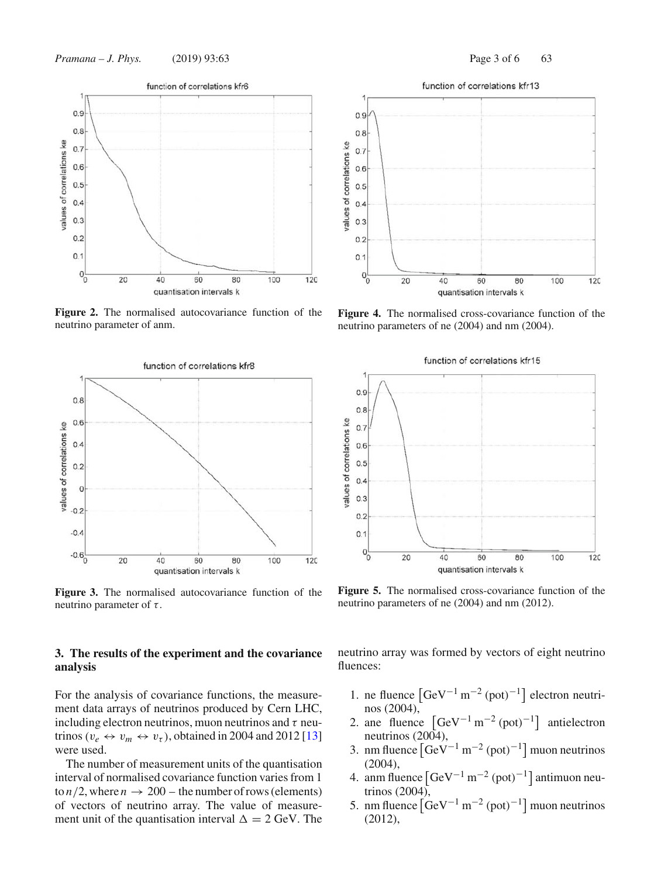

**Figure 2.** The normalised autocovariance function of the neutrino parameter of anm.



**Figure 3.** The normalised autocovariance function of the neutrino parameter of  $\tau$ .

## **3. The results of the experiment and the covariance analysis**

For the analysis of covariance functions, the measurement data arrays of neutrinos produced by Cern LHC, including electron neutrinos, muon neutrinos and  $\tau$  neutrinos ( $v_e \leftrightarrow v_m \leftrightarrow v_\tau$ ), obtained in 2004 and 2012 [13] were used.

The number of measurement units of the quantisation interval of normalised covariance function varies from 1 to  $n/2$ , where  $n \to 200$  – the number of rows (elements) of vectors of neutrino array. The value of measurement unit of the quantisation interval  $\Delta = 2$  GeV. The



**Figure 4.** The normalised cross-covariance function of the neutrino parameters of ne (2004) and nm (2004).



**Figure 5.** The normalised cross-covariance function of the neutrino parameters of ne (2004) and nm (2012).

neutrino array was formed by vectors of eight neutrino fluences:

- 1. ne fluence  $\left[ GeV^{-1} \, \text{m}^{-2} \, (\text{pot})^{-1} \right]$  electron neutrinos (2004),
- 2. ane fluence  $\left[ GeV^{-1} \, \text{m}^{-2} \, (\text{pot})^{-1} \right]$  antielectron neutrinos (2004),
- 3. nm fluence  $\left[ GeV^{-1} \, \text{m}^{-2} \, (\text{pot})^{-1} \right]$  muon neutrinos (2004),
- 4. anm fluence  $\left[ \text{GeV}^{-1} \text{ m}^{-2} \text{ (pot)}^{-1} \right]$  antimuon neutrinos (2004),
- 5. nm fluence  $\left[ GeV^{-1} \, \text{m}^{-2} \, (\text{pot})^{-1} \right]$  muon neutrinos (2012),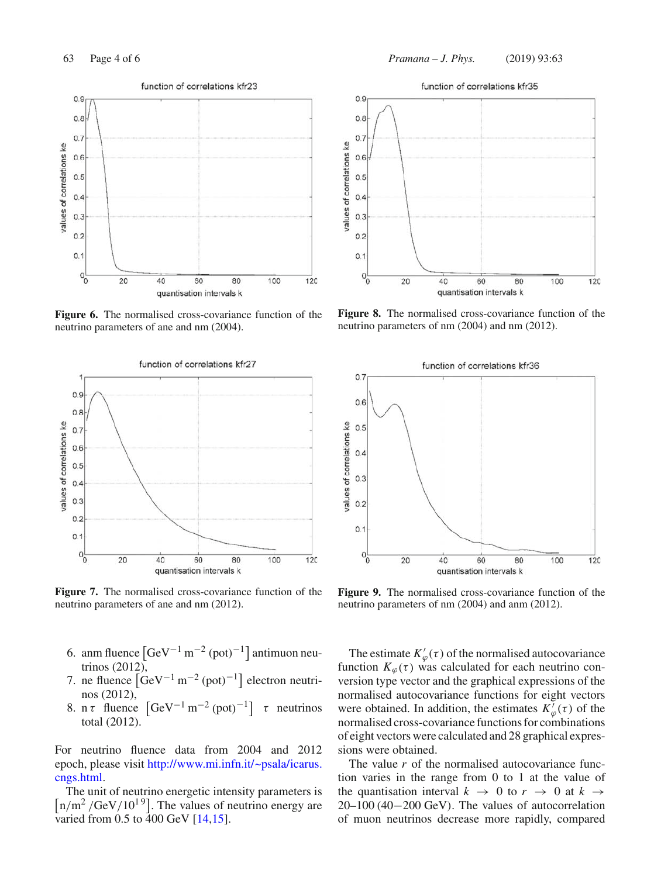

**Figure 6.** The normalised cross-covariance function of the neutrino parameters of ane and nm (2004).



**Figure 7.** The normalised cross-covariance function of the neutrino parameters of ane and nm (2012).

- 6. anm fluence  $\left[ \text{GeV}^{-1} \text{ m}^{-2} \text{ (pot)}^{-1} \right]$  antimuon neutrinos (2012),
- 7. ne fluence  $\left[\text{GeV}^{-1}\text{ m}^{-2}\text{(pot)}^{-1}\right]$  electron neutrinos (2012),
- 8. n τ fluence  $\left[ \text{GeV}^{-1} \text{ m}^{-2} \text{ (pot)}^{-1} \right]$  τ neutrinos total (2012).

For neutrino fluence data from 2004 and 2012 epoch, please visit http://www.mi.infn.it/~psala/icarus. cngs.html.

The unit of neutrino energetic intensity parameters is  $\left[\frac{n}{m^2}/\text{GeV}/10^{19}\right]$ . The values of neutrino energy are varied from  $0.5$  to  $400$  GeV  $[14, 15]$ .



**Figure 8.** The normalised cross-covariance function of the neutrino parameters of nm (2004) and nm (2012).



**Figure 9.** The normalised cross-covariance function of the neutrino parameters of nm (2004) and anm (2012).

The estimate  $K'_{\varphi}(\tau)$  of the normalised autocovariance function  $K_{\varphi}(\tau)$  was calculated for each neutrino conversion type vector and the graphical expressions of the normalised autocovariance functions for eight vectors were obtained. In addition, the estimates  $K'_{\varphi}(\tau)$  of the normalised cross-covariance functions for combinations of eight vectors were calculated and 28 graphical expressions were obtained.

The value *r* of the normalised autocovariance function varies in the range from 0 to 1 at the value of the quantisation interval  $k \rightarrow 0$  to  $r \rightarrow 0$  at  $k \rightarrow$ 20–100 (40−200 GeV). The values of autocorrelation of muon neutrinos decrease more rapidly, compared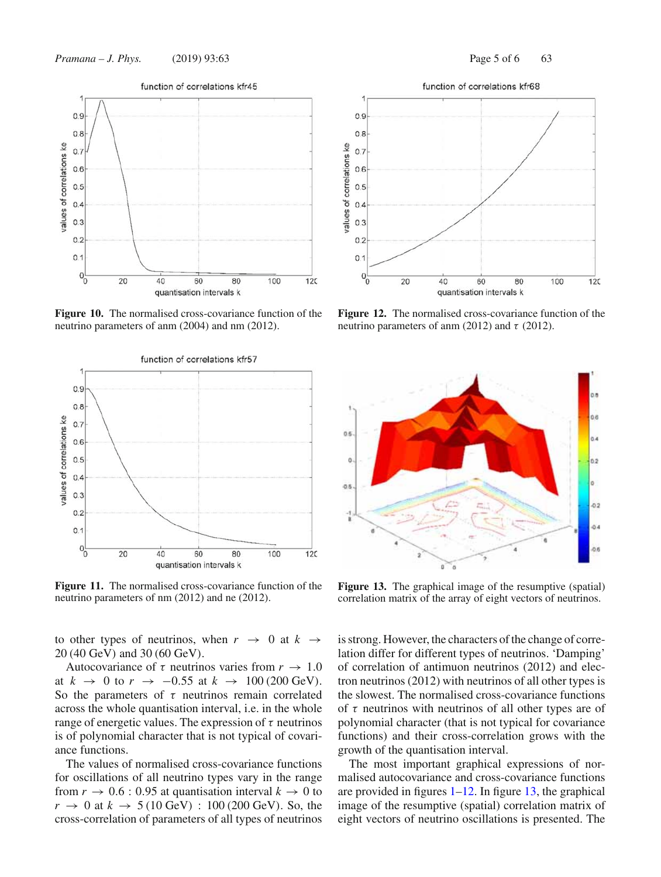

**Figure 10.** The normalised cross-covariance function of the neutrino parameters of anm (2004) and nm (2012).



**Figure 11.** The normalised cross-covariance function of the neutrino parameters of nm (2012) and ne (2012).

to other types of neutrinos, when  $r \rightarrow 0$  at  $k \rightarrow$ 20 (40 GeV) and 30 (60 GeV).

Autocovariance of  $\tau$  neutrinos varies from  $r \to 1.0$ at  $k \rightarrow 0$  to  $r \rightarrow -0.55$  at  $k \rightarrow 100$  (200 GeV). So the parameters of  $\tau$  neutrinos remain correlated across the whole quantisation interval, i.e. in the whole range of energetic values. The expression of  $\tau$  neutrinos is of polynomial character that is not typical of covariance functions.

The values of normalised cross-covariance functions for oscillations of all neutrino types vary in the range from  $r \to 0.6$ : 0.95 at quantisation interval  $k \to 0$  to  $r \to 0$  at  $k \to 5 (10 \text{ GeV})$  : 100 (200 GeV). So, the cross-correlation of parameters of all types of neutrinos



**Figure 12.** The normalised cross-covariance function of the neutrino parameters of anm (2012) and  $\tau$  (2012).



Figure 13. The graphical image of the resumptive (spatial) correlation matrix of the array of eight vectors of neutrinos.

is strong. However, the characters of the change of correlation differ for different types of neutrinos. 'Damping' of correlation of antimuon neutrinos (2012) and electron neutrinos (2012) with neutrinos of all other types is the slowest. The normalised cross-covariance functions of  $\tau$  neutrinos with neutrinos of all other types are of polynomial character (that is not typical for covariance functions) and their cross-correlation grows with the growth of the quantisation interval.

The most important graphical expressions of normalised autocovariance and cross-covariance functions are provided in figures  $1-12$ . In figure 13, the graphical image of the resumptive (spatial) correlation matrix of eight vectors of neutrino oscillations is presented. The